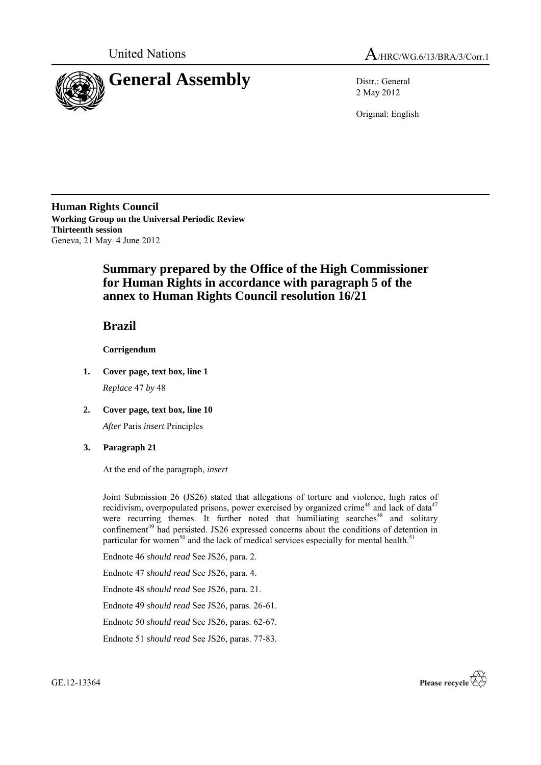



2 May 2012

Original: English

**Human Rights Council Working Group on the Universal Periodic Review Thirteenth session** Geneva, 21 May–4 June 2012

## **Summary prepared by the Office of the High Commissioner for Human Rights in accordance with paragraph 5 of the annex to Human Rights Council resolution 16/21**

**Brazil**

**Corrigendum**

- **1. Cover page, text box, line 1** *Replace* 47 *by* 48
- **2. Cover page, text box, line 10**

*After* Paris *insert* Principles

## **3. Paragraph 21**

At the end of the paragraph, *insert*

Joint Submission 26 (JS26) stated that allegations of torture and violence, high rates of recidivism, overpopulated prisons, power exercised by organized crime<sup>46</sup> and lack of data<sup>47</sup> were recurring themes. It further noted that humiliating searches<sup>48</sup> and solitary confinement<sup>49</sup> had persisted. JS26 expressed concerns about the conditions of detention in particular for women<sup>50</sup> and the lack of medical services especially for mental health.<sup>51</sup>

Endnote 46 *should read* See JS26, para. 2.

Endnote 47 *should read* See JS26, para. 4.

Endnote 48 *should read* See JS26, para. 21.

Endnote 49 *should read* See JS26, paras. 26-61.

Endnote 50 *should read* See JS26, paras. 62-67.

Endnote 51 *should read* See JS26, paras. 77-83.